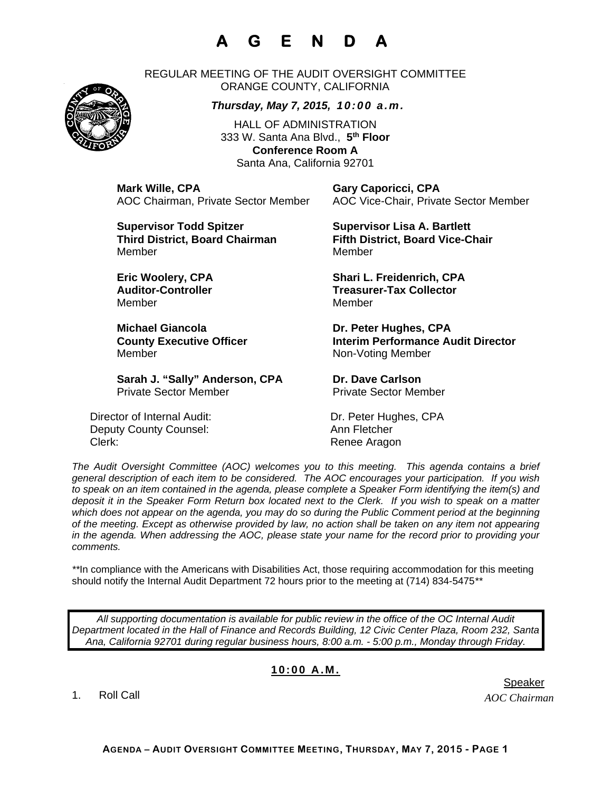## **A G E N D A**

REGULAR MEETING OF THE AUDIT OVERSIGHT COMMITTEE ORANGE COUNTY, CALIFORNIA

#### *Thursday, May 7, 2015, 10:00 a.m.*

HALL OF ADMINISTRATION 333 W. Santa Ana Blvd., **5th Floor Conference Room A**  Santa Ana, California 92701

**Mark Wille, CPA Gary Caporicci, CPA** 

**Supervisor Todd Spitzer Supervisor Lisa A. Bartlett Third District, Board Chairman Fifth District, Board Vice-Chair**  MemberMember

**Michael Giancola Dr. Peter Hughes, CPA** Member Non-Voting Member

Sarah J. "Sally" Anderson, CPA Dr. Dave Carlson Private Sector Member Private Sector Member

Director of Internal Audit: Dr. Peter Hughes, CPA Deputy County Counsel: Ann Fletcher Clerk: Clerk: Clerk: Clerk: Renee Aragon

AOC Chairman, Private Sector Member AOC Vice-Chair, Private Sector Member

**Eric Woolery, CPA Shari L. Freidenrich, CPA Auditor-Controller Treasurer-Tax Collector<br>Member Member** Member Member

**County Executive Officer The Interim Performance Audit Director** 

*The Audit Oversight Committee (AOC) welcomes you to this meeting. This agenda contains a brief general description of each item to be considered. The AOC encourages your participation. If you wish to speak on an item contained in the agenda, please complete a Speaker Form identifying the item(s) and deposit it in the Speaker Form Return box located next to the Clerk. If you wish to speak on a matter which does not appear on the agenda, you may do so during the Public Comment period at the beginning of the meeting. Except as otherwise provided by law, no action shall be taken on any item not appearing in the agenda. When addressing the AOC, please state your name for the record prior to providing your comments.* 

*\*\**In compliance with the Americans with Disabilities Act, those requiring accommodation for this meeting should notify the Internal Audit Department 72 hours prior to the meeting at (714) 834-5475*\*\** 

*All supporting documentation is available for public review in the office of the OC Internal Audit Department located in the Hall of Finance and Records Building, 12 Civic Center Plaza, Room 232, Santa Ana, California 92701 during regular business hours, 8:00 a.m. - 5:00 p.m., Monday through Friday.* 

### **10:00 A.M.**

1. Roll Call

**AGENDA – AUDIT OVERSIGHT COMMITTEE MEETING, THURSDAY, MAY 7, 2015 - PAGE 1**



er de statistische Speaker in der Speaker in de Speaker in de Speaker in de Speaker in de Speaker in de Speaker

*AOC Chairman*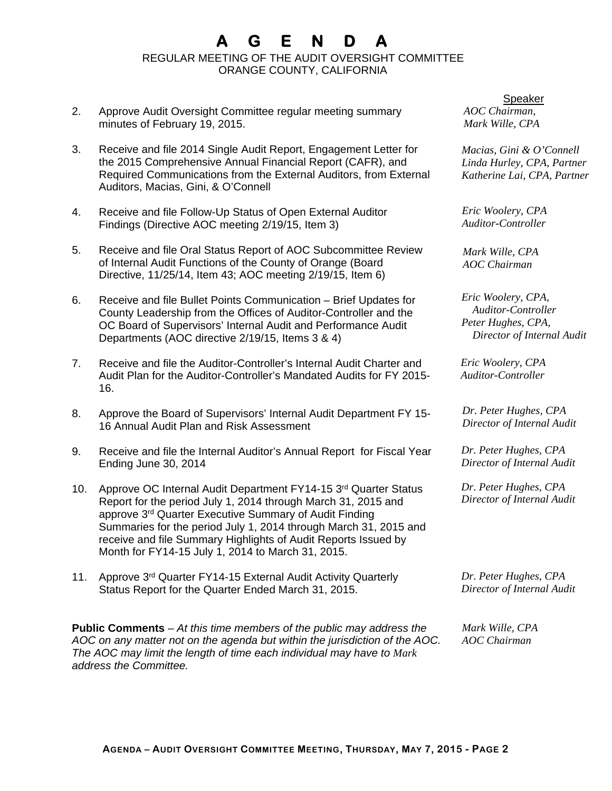# **A G E N D A**

REGULAR MEETING OF THE AUDIT OVERSIGHT COMMITTEE ORANGE COUNTY, CALIFORNIA

- 2. Approve Audit Oversight Committee regular meeting summary minutes of February 19, 2015.
- 3. Receive and file 2014 Single Audit Report, Engagement Letter for the 2015 Comprehensive Annual Financial Report (CAFR), and Required Communications from the External Auditors, from External Auditors, Macias, Gini, & O'Connell
- 4. Receive and file Follow-Up Status of Open External Auditor Findings (Directive AOC meeting 2/19/15, Item 3)
- 5. Receive and file Oral Status Report of AOC Subcommittee Review of Internal Audit Functions of the County of Orange (Board Directive, 11/25/14, Item 43; AOC meeting 2/19/15, Item 6)
- 6. Receive and file Bullet Points Communication Brief Updates for County Leadership from the Offices of Auditor-Controller and the OC Board of Supervisors' Internal Audit and Performance Audit Departments (AOC directive 2/19/15, Items 3 & 4)
- 7. Receive and file the Auditor-Controller's Internal Audit Charter and Audit Plan for the Auditor-Controller's Mandated Audits for FY 2015- 16.
- 8. Approve the Board of Supervisors' Internal Audit Department FY 15- 16 Annual Audit Plan and Risk Assessment
- 9. Receive and file the Internal Auditor's Annual Report for Fiscal Year Ending June 30, 2014
- 10. Approve OC Internal Audit Department FY14-15 3rd Quarter Status Report for the period July 1, 2014 through March 31, 2015 and approve 3rd Quarter Executive Summary of Audit Finding Summaries for the period July 1, 2014 through March 31, 2015 and receive and file Summary Highlights of Audit Reports Issued by Month for FY14-15 July 1, 2014 to March 31, 2015.
- 11. Approve 3rd Quarter FY14-15 External Audit Activity Quarterly Status Report for the Quarter Ended March 31, 2015.

**Public Comments** – *At this time members of the public may address the AOC on any matter not on the agenda but within the jurisdiction of the AOC. The AOC may limit the length of time each individual may have to Mark address the Committee.* 

*AOC Chairman, Mark Wille, CPA*  Speaker

*Macias, Gini & O'Connell Linda Hurley, CPA, Partner Katherine Lai, CPA, Partner* 

*Eric Woolery, CPA Auditor-Controller* 

*Mark Wille, CPA AOC Chairman* 

*Eric Woolery, CPA, Auditor-Controller Peter Hughes, CPA, Director of Internal Audit* 

*Eric Woolery, CPA Auditor-Controller* 

*Dr. Peter Hughes, CPA Director of Internal Audit* 

*Dr. Peter Hughes, CPA Director of Internal Audit* 

*Dr. Peter Hughes, CPA Director of Internal Audit* 

*Dr. Peter Hughes, CPA Director of Internal Audit* 

*Mark Wille, CPA AOC Chairman*